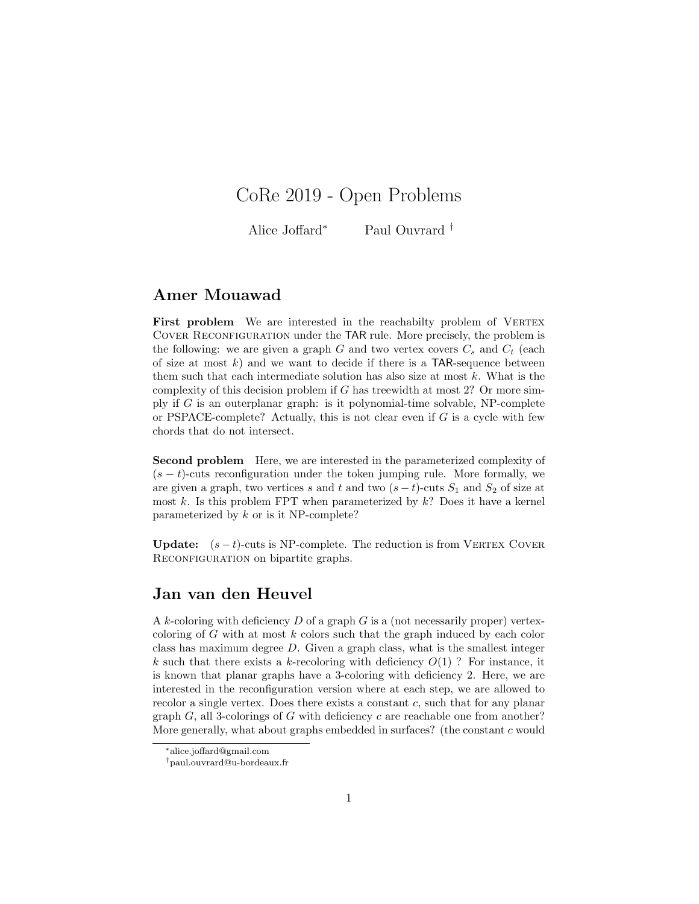# CoRe 2019 - Open Problems

Alice Joffard<sup>∗</sup> Paul Ouvrard †

# Amer Mouawad

First problem We are interested in the reachabilty problem of VERTEX COVER RECONFIGURATION under the TAR rule. More precisely, the problem is the following: we are given a graph G and two vertex covers  $C_s$  and  $C_t$  (each of size at most  $k$ ) and we want to decide if there is a TAR-sequence between them such that each intermediate solution has also size at most  $k$ . What is the complexity of this decision problem if G has treewidth at most 2? Or more simply if  $G$  is an outerplanar graph: is it polynomial-time solvable, NP-complete or PSPACE-complete? Actually, this is not clear even if  $G$  is a cycle with few chords that do not intersect.

Second problem Here, we are interested in the parameterized complexity of  $(s - t)$ -cuts reconfiguration under the token jumping rule. More formally, we are given a graph, two vertices s and t and two  $(s-t)$ -cuts  $S_1$  and  $S_2$  of size at most  $k$ . Is this problem FPT when parameterized by  $k$ ? Does it have a kernel parameterized by k or is it NP-complete?

**Update:**  $(s - t)$ -cuts is NP-complete. The reduction is from VERTEX COVER RECONFIGURATION on bipartite graphs.

#### Jan van den Heuvel

A k-coloring with deficiency  $D$  of a graph  $G$  is a (not necessarily proper) vertexcoloring of  $G$  with at most  $k$  colors such that the graph induced by each color class has maximum degree D. Given a graph class, what is the smallest integer k such that there exists a k-recoloring with deficiency  $O(1)$ ? For instance, it is known that planar graphs have a 3-coloring with deficiency 2. Here, we are interested in the reconfiguration version where at each step, we are allowed to recolor a single vertex. Does there exists a constant c, such that for any planar graph  $G$ , all 3-colorings of  $G$  with deficiency  $c$  are reachable one from another? More generally, what about graphs embedded in surfaces? (the constant c would

<sup>∗</sup>alice.joffard@gmail.com

<sup>†</sup>paul.ouvrard@u-bordeaux.fr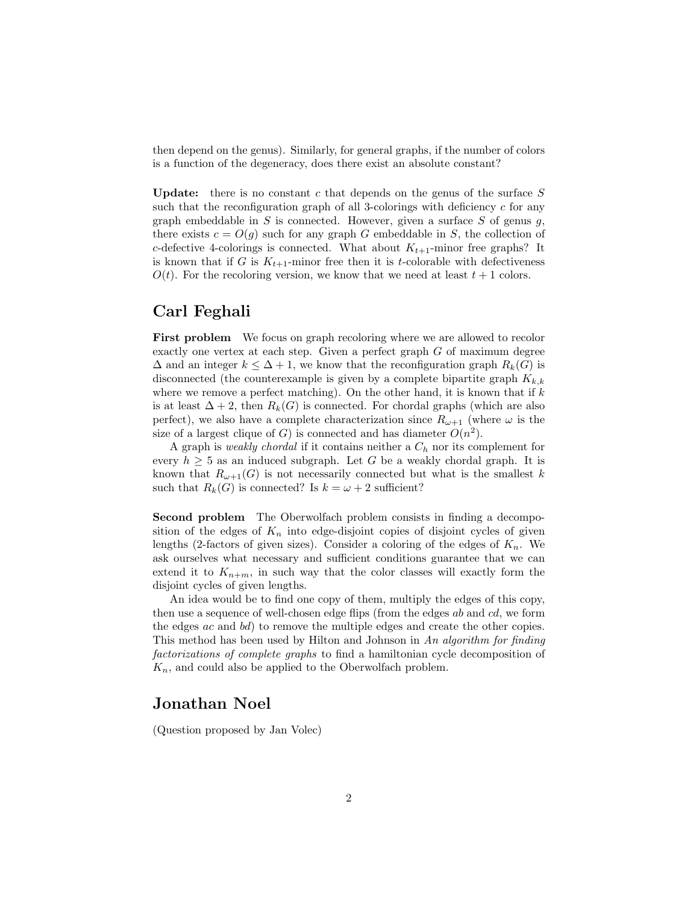then depend on the genus). Similarly, for general graphs, if the number of colors is a function of the degeneracy, does there exist an absolute constant?

Update: there is no constant  $c$  that depends on the genus of the surface  $S$ such that the reconfiguration graph of all 3-colorings with deficiency  $c$  for any graph embeddable in  $S$  is connected. However, given a surface  $S$  of genus  $g$ , there exists  $c = O(q)$  such for any graph G embeddable in S, the collection of c-defective 4-colorings is connected. What about  $K_{t+1}$ -minor free graphs? It is known that if G is  $K_{t+1}$ -minor free then it is t-colorable with defectiveness  $O(t)$ . For the recoloring version, we know that we need at least  $t + 1$  colors.

# Carl Feghali

First problem We focus on graph recoloring where we are allowed to recolor exactly one vertex at each step. Given a perfect graph G of maximum degree  $\Delta$  and an integer  $k \leq \Delta + 1$ , we know that the reconfiguration graph  $R_k(G)$  is disconnected (the counterexample is given by a complete bipartite graph  $K_{k,k}$ where we remove a perfect matching). On the other hand, it is known that if  $k$ is at least  $\Delta + 2$ , then  $R_k(G)$  is connected. For chordal graphs (which are also perfect), we also have a complete characterization since  $R_{\omega+1}$  (where  $\omega$  is the size of a largest clique of G) is connected and has diameter  $O(n^2)$ .

A graph is *weakly chordal* if it contains neither a  $C_h$  nor its complement for every  $h \geq 5$  as an induced subgraph. Let G be a weakly chordal graph. It is known that  $R_{\omega+1}(G)$  is not necessarily connected but what is the smallest k such that  $R_k(G)$  is connected? Is  $k = \omega + 2$  sufficient?

Second problem The Oberwolfach problem consists in finding a decomposition of the edges of  $K_n$  into edge-disjoint copies of disjoint cycles of given lengths (2-factors of given sizes). Consider a coloring of the edges of  $K_n$ . We ask ourselves what necessary and sufficient conditions guarantee that we can extend it to  $K_{n+m}$ , in such way that the color classes will exactly form the disjoint cycles of given lengths.

An idea would be to find one copy of them, multiply the edges of this copy, then use a sequence of well-chosen edge flips (from the edges ab and cd, we form the edges ac and bd) to remove the multiple edges and create the other copies. This method has been used by Hilton and Johnson in An algorithm for finding factorizations of complete graphs to find a hamiltonian cycle decomposition of  $K_n$ , and could also be applied to the Oberwolfach problem.

#### Jonathan Noel

(Question proposed by Jan Volec)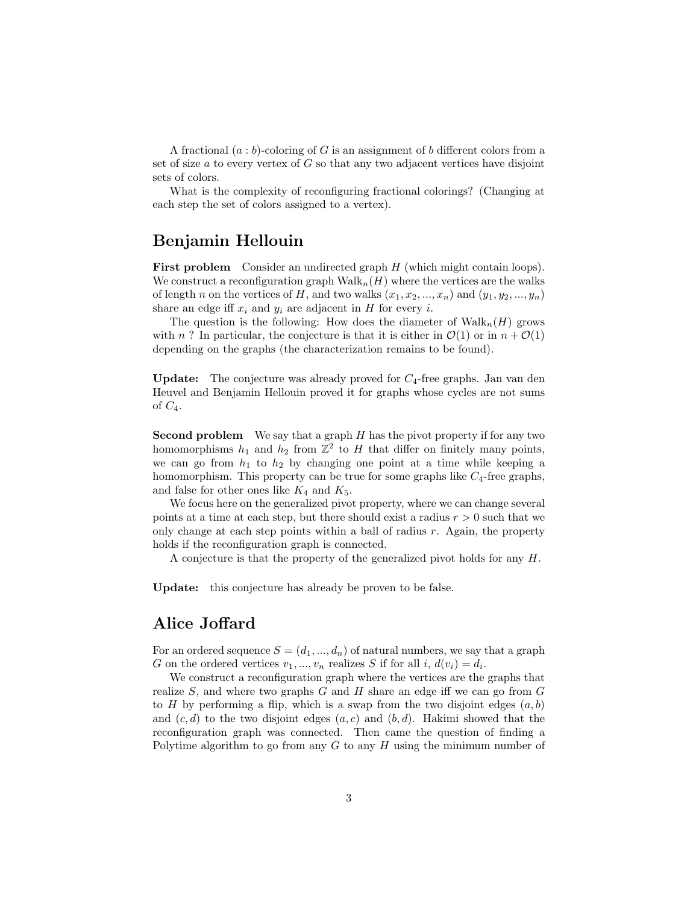A fractional  $(a:b)$ -coloring of G is an assignment of b different colors from a set of size  $a$  to every vertex of  $G$  so that any two adjacent vertices have disjoint sets of colors.

What is the complexity of reconfiguring fractional colorings? (Changing at each step the set of colors assigned to a vertex).

# Benjamin Hellouin

First problem Consider an undirected graph H (which might contain loops). We construct a reconfiguration graph  $\text{Walk}_n(H)$  where the vertices are the walks of length n on the vertices of H, and two walks  $(x_1, x_2, ..., x_n)$  and  $(y_1, y_2, ..., y_n)$ share an edge iff  $x_i$  and  $y_i$  are adjacent in H for every i.

The question is the following: How does the diameter of  $\text{Walk}_n(H)$  grows with n? In particular, the conjecture is that it is either in  $\mathcal{O}(1)$  or in  $n + \mathcal{O}(1)$ depending on the graphs (the characterization remains to be found).

**Update:** The conjecture was already proved for  $C_4$ -free graphs. Jan van den Heuvel and Benjamin Hellouin proved it for graphs whose cycles are not sums of  $C_4$ .

**Second problem** We say that a graph  $H$  has the pivot property if for any two homomorphisms  $h_1$  and  $h_2$  from  $\mathbb{Z}^2$  to H that differ on finitely many points, we can go from  $h_1$  to  $h_2$  by changing one point at a time while keeping a homomorphism. This property can be true for some graphs like  $C_4$ -free graphs, and false for other ones like  $K_4$  and  $K_5$ .

We focus here on the generalized pivot property, where we can change several points at a time at each step, but there should exist a radius  $r > 0$  such that we only change at each step points within a ball of radius  $r$ . Again, the property holds if the reconfiguration graph is connected.

A conjecture is that the property of the generalized pivot holds for any H.

Update: this conjecture has already be proven to be false.

# Alice Joffard

For an ordered sequence  $S = (d_1, ..., d_n)$  of natural numbers, we say that a graph G on the ordered vertices  $v_1, ..., v_n$  realizes S if for all i,  $d(v_i) = d_i$ .

We construct a reconfiguration graph where the vertices are the graphs that realize  $S$ , and where two graphs  $G$  and  $H$  share an edge iff we can go from  $G$ to H by performing a flip, which is a swap from the two disjoint edges  $(a, b)$ and  $(c, d)$  to the two disjoint edges  $(a, c)$  and  $(b, d)$ . Hakimi showed that the reconfiguration graph was connected. Then came the question of finding a Polytime algorithm to go from any  $G$  to any  $H$  using the minimum number of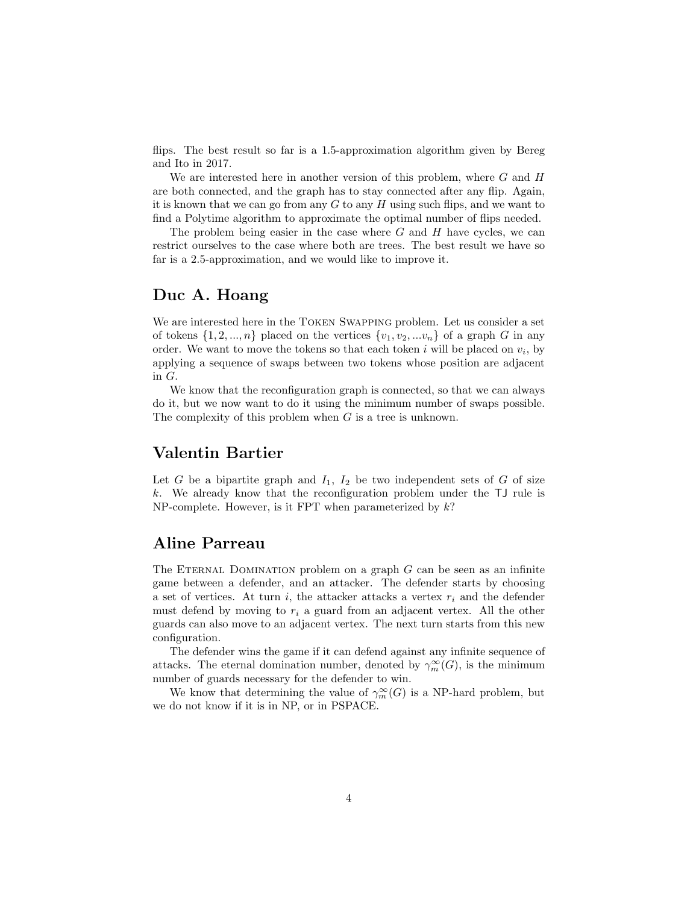flips. The best result so far is a 1.5-approximation algorithm given by Bereg and Ito in 2017.

We are interested here in another version of this problem, where  $G$  and  $H$ are both connected, and the graph has to stay connected after any flip. Again, it is known that we can go from any  $G$  to any  $H$  using such flips, and we want to find a Polytime algorithm to approximate the optimal number of flips needed.

The problem being easier in the case where  $G$  and  $H$  have cycles, we can restrict ourselves to the case where both are trees. The best result we have so far is a 2.5-approximation, and we would like to improve it.

## Duc A. Hoang

We are interested here in the Token Swapping problem. Let us consider a set of tokens  $\{1, 2, ..., n\}$  placed on the vertices  $\{v_1, v_2, ... v_n\}$  of a graph G in any order. We want to move the tokens so that each token  $i$  will be placed on  $v_i$ , by applying a sequence of swaps between two tokens whose position are adjacent in G.

We know that the reconfiguration graph is connected, so that we can always do it, but we now want to do it using the minimum number of swaps possible. The complexity of this problem when  $G$  is a tree is unknown.

#### Valentin Bartier

Let G be a bipartite graph and  $I_1$ ,  $I_2$  be two independent sets of G of size k. We already know that the reconfiguration problem under the TJ rule is NP-complete. However, is it FPT when parameterized by  $k$ ?

## Aline Parreau

The ETERNAL DOMINATION problem on a graph  $G$  can be seen as an infinite game between a defender, and an attacker. The defender starts by choosing a set of vertices. At turn i, the attacker attacks a vertex  $r_i$  and the defender must defend by moving to  $r_i$  a guard from an adjacent vertex. All the other guards can also move to an adjacent vertex. The next turn starts from this new configuration.

The defender wins the game if it can defend against any infinite sequence of attacks. The eternal domination number, denoted by  $\gamma_m^{\infty}(G)$ , is the minimum number of guards necessary for the defender to win.

We know that determining the value of  $\gamma_m^{\infty}(G)$  is a NP-hard problem, but we do not know if it is in NP, or in PSPACE.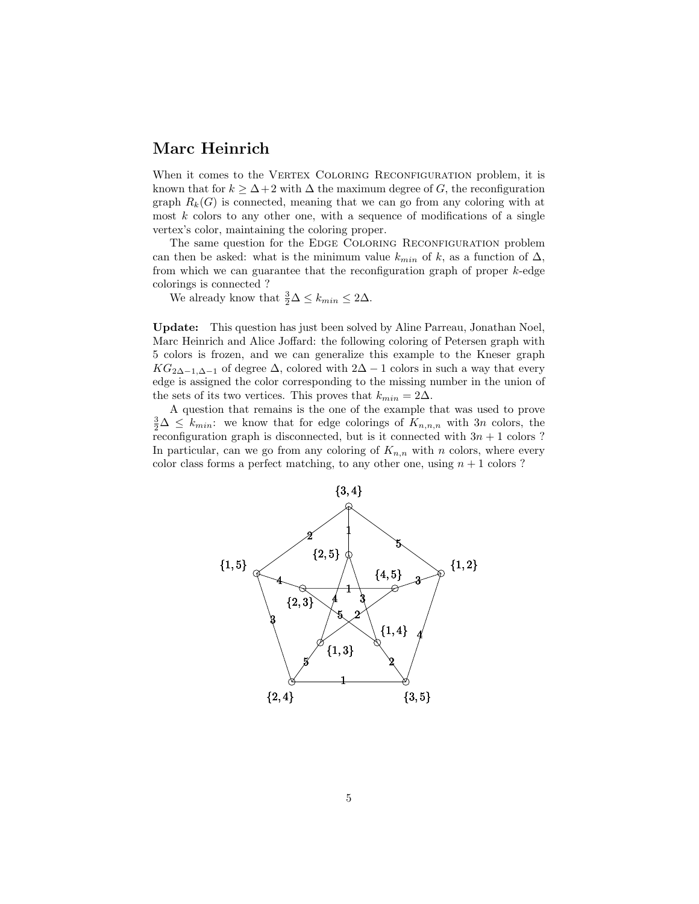## Marc Heinrich

When it comes to the VERTEX COLORING RECONFIGURATION problem, it is known that for  $k \geq \Delta + 2$  with  $\Delta$  the maximum degree of G, the reconfiguration graph  $R_k(G)$  is connected, meaning that we can go from any coloring with at most  $k$  colors to any other one, with a sequence of modifications of a single vertex's color, maintaining the coloring proper.

The same question for the EDGE COLORING RECONFIGURATION problem can then be asked: what is the minimum value  $k_{min}$  of k, as a function of  $\Delta$ , from which we can guarantee that the reconfiguration graph of proper  $k$ -edge colorings is connected ?

We already know that  $\frac{3}{2}\Delta \leq k_{min} \leq 2\Delta$ .

Update: This question has just been solved by Aline Parreau, Jonathan Noel, Marc Heinrich and Alice Joffard: the following coloring of Petersen graph with 5 colors is frozen, and we can generalize this example to the Kneser graph  $KG_{2\Delta-1,\Delta-1}$  of degree  $\Delta$ , colored with  $2\Delta-1$  colors in such a way that every edge is assigned the color corresponding to the missing number in the union of the sets of its two vertices. This proves that  $k_{min} = 2\Delta$ .

A question that remains is the one of the example that was used to prove  $\frac{3}{2}\Delta \leq k_{min}$ : we know that for edge colorings of  $K_{n,n,n}$  with 3n colors, the reconfiguration graph is disconnected, but is it connected with  $3n + 1$  colors ? In particular, can we go from any coloring of  $K_{n,n}$  with n colors, where every color class forms a perfect matching, to any other one, using  $n + 1$  colors ?

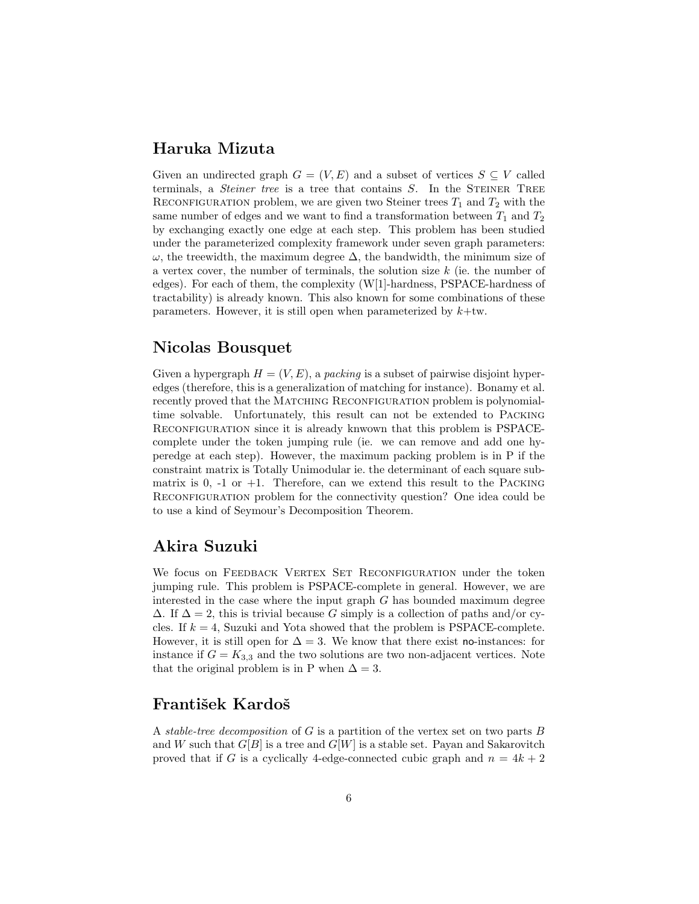## Haruka Mizuta

Given an undirected graph  $G = (V, E)$  and a subset of vertices  $S \subseteq V$  called terminals, a *Steiner tree* is a tree that contains S. In the STEINER TREE RECONFIGURATION problem, we are given two Steiner trees  $T_1$  and  $T_2$  with the same number of edges and we want to find a transformation between  $T_1$  and  $T_2$ by exchanging exactly one edge at each step. This problem has been studied under the parameterized complexity framework under seven graph parameters:  $\omega$ , the treewidth, the maximum degree  $\Delta$ , the bandwidth, the minimum size of a vertex cover, the number of terminals, the solution size  $k$  (ie. the number of edges). For each of them, the complexity (W[1]-hardness, PSPACE-hardness of tractability) is already known. This also known for some combinations of these parameters. However, it is still open when parameterized by  $k+tw$ .

# Nicolas Bousquet

Given a hypergraph  $H = (V, E)$ , a packing is a subset of pairwise disjoint hyperedges (therefore, this is a generalization of matching for instance). Bonamy et al. recently proved that the MATCHING RECONFIGURATION problem is polynomialtime solvable. Unfortunately, this result can not be extended to Packing RECONFIGURATION since it is already knwown that this problem is PSPACEcomplete under the token jumping rule (ie. we can remove and add one hyperedge at each step). However, the maximum packing problem is in P if the constraint matrix is Totally Unimodular ie. the determinant of each square submatrix is  $0, -1$  or  $+1$ . Therefore, can we extend this result to the PACKING RECONFIGURATION problem for the connectivity question? One idea could be to use a kind of Seymour's Decomposition Theorem.

# Akira Suzuki

We focus on FEEDBACK VERTEX SET RECONFIGURATION under the token jumping rule. This problem is PSPACE-complete in general. However, we are interested in the case where the input graph  $G$  has bounded maximum degree  $\Delta$ . If  $\Delta = 2$ , this is trivial because G simply is a collection of paths and/or cycles. If  $k = 4$ , Suzuki and Yota showed that the problem is PSPACE-complete. However, it is still open for  $\Delta = 3$ . We know that there exist no-instances: for instance if  $G = K_{3,3}$  and the two solutions are two non-adjacent vertices. Note that the original problem is in P when  $\Delta = 3$ .

# František Kardoš

A stable-tree decomposition of G is a partition of the vertex set on two parts B and W such that  $G[B]$  is a tree and  $G[W]$  is a stable set. Payan and Sakarovitch proved that if G is a cyclically 4-edge-connected cubic graph and  $n = 4k + 2$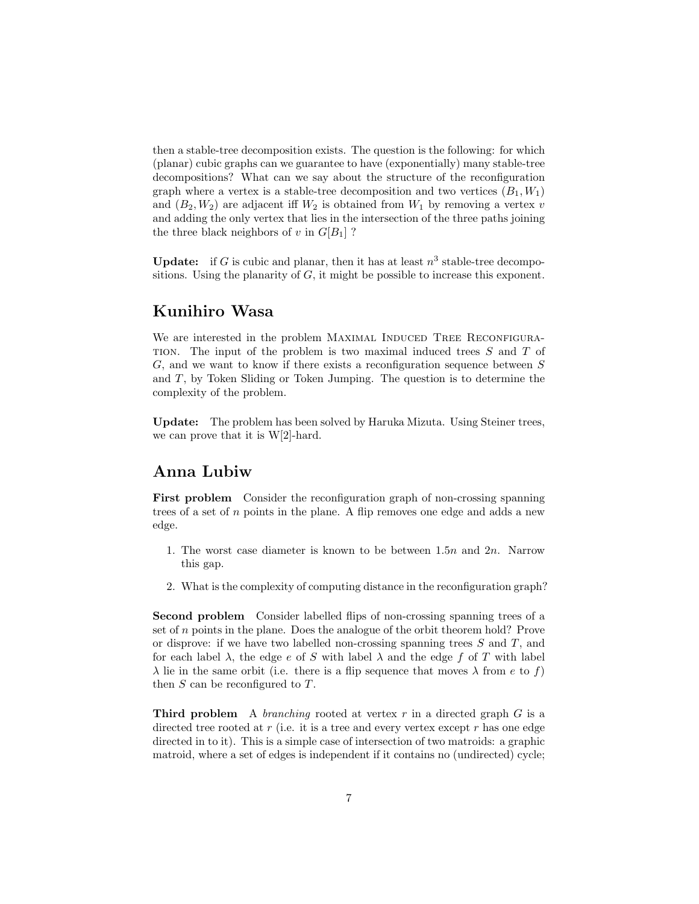then a stable-tree decomposition exists. The question is the following: for which (planar) cubic graphs can we guarantee to have (exponentially) many stable-tree decompositions? What can we say about the structure of the reconfiguration graph where a vertex is a stable-tree decomposition and two vertices  $(B_1, W_1)$ and  $(B_2, W_2)$  are adjacent iff  $W_2$  is obtained from  $W_1$  by removing a vertex v and adding the only vertex that lies in the intersection of the three paths joining the three black neighbors of v in  $G[B_1]$ ?

**Update:** if G is cubic and planar, then it has at least  $n^3$  stable-tree decompositions. Using the planarity of  $G$ , it might be possible to increase this exponent.

## Kunihiro Wasa

We are interested in the problem MAXIMAL INDUCED TREE RECONFIGURA-TION. The input of the problem is two maximal induced trees  $S$  and  $T$  of G, and we want to know if there exists a reconfiguration sequence between S and T, by Token Sliding or Token Jumping. The question is to determine the complexity of the problem.

Update: The problem has been solved by Haruka Mizuta. Using Steiner trees, we can prove that it is W[2]-hard.

#### Anna Lubiw

First problem Consider the reconfiguration graph of non-crossing spanning trees of a set of  $n$  points in the plane. A flip removes one edge and adds a new edge.

- 1. The worst case diameter is known to be between  $1.5n$  and  $2n$ . Narrow this gap.
- 2. What is the complexity of computing distance in the reconfiguration graph?

Second problem Consider labelled flips of non-crossing spanning trees of a set of  $n$  points in the plane. Does the analogue of the orbit theorem hold? Prove or disprove: if we have two labelled non-crossing spanning trees  $S$  and  $T$ , and for each label  $\lambda$ , the edge e of S with label  $\lambda$  and the edge f of T with label  $\lambda$  lie in the same orbit (i.e. there is a flip sequence that moves  $\lambda$  from e to f) then  $S$  can be reconfigured to  $T$ .

**Third problem** A branching rooted at vertex r in a directed graph  $G$  is a directed tree rooted at  $r$  (i.e. it is a tree and every vertex except  $r$  has one edge directed in to it). This is a simple case of intersection of two matroids: a graphic matroid, where a set of edges is independent if it contains no (undirected) cycle;